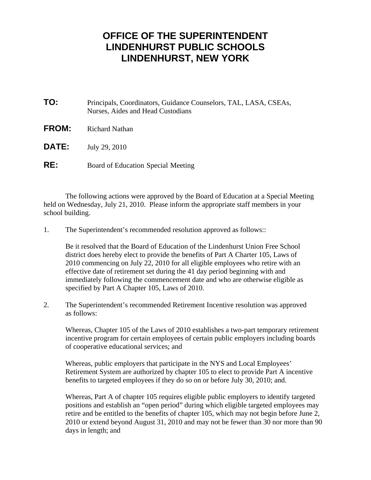## **OFFICE OF THE SUPERINTENDENT LINDENHURST PUBLIC SCHOOLS LINDENHURST, NEW YORK**

| TO:          | Principals, Coordinators, Guidance Counselors, TAL, LASA, CSEAs,<br>Nurses, Aides and Head Custodians |
|--------------|-------------------------------------------------------------------------------------------------------|
| <b>FROM:</b> | Richard Nathan                                                                                        |
| <b>DATE:</b> | July 29, 2010                                                                                         |
| RE:          | Board of Education Special Meeting                                                                    |

 The following actions were approved by the Board of Education at a Special Meeting held on Wednesday, July 21, 2010. Please inform the appropriate staff members in your school building.

1. The Superintendent's recommended resolution approved as follows::

 Be it resolved that the Board of Education of the Lindenhurst Union Free School district does hereby elect to provide the benefits of Part A Charter 105, Laws of 2010 commencing on July 22, 2010 for all eligible employees who retire with an effective date of retirement set during the 41 day period beginning with and immediately following the commencement date and who are otherwise eligible as specified by Part A Chapter 105, Laws of 2010.

2. The Superintendent's recommended Retirement Incentive resolution was approved as follows:

 Whereas, Chapter 105 of the Laws of 2010 establishes a two-part temporary retirement incentive program for certain employees of certain public employers including boards of cooperative educational services; and

 Whereas, public employers that participate in the NYS and Local Employees' Retirement System are authorized by chapter 105 to elect to provide Part A incentive benefits to targeted employees if they do so on or before July 30, 2010; and.

 Whereas, Part A of chapter 105 requires eligible public employers to identify targeted positions and establish an "open period" during which eligible targeted employees may retire and be entitled to the benefits of chapter 105, which may not begin before June 2, 2010 or extend beyond August 31, 2010 and may not be fewer than 30 nor more than 90 days in length; and